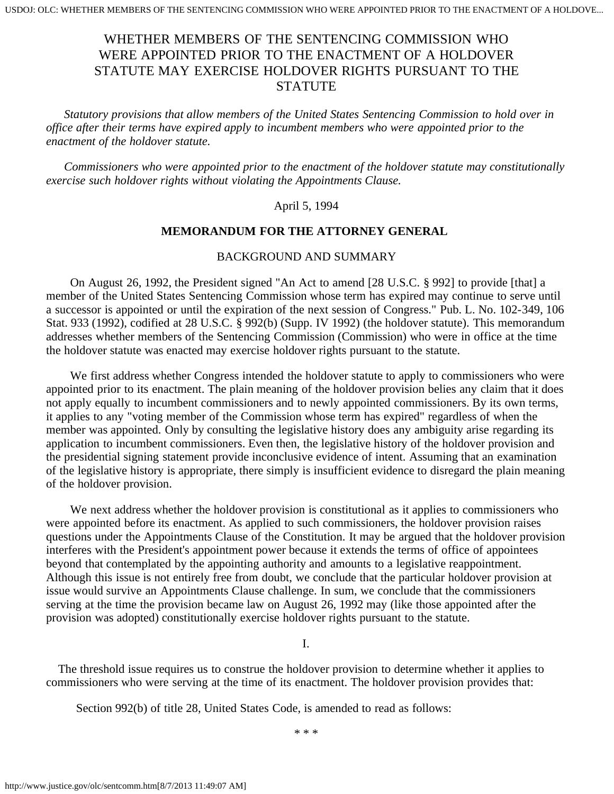# WHETHER MEMBERS OF THE SENTENCING COMMISSION WHO WERE APPOINTED PRIOR TO THE ENACTMENT OF A HOLDOVER STATUTE MAY EXERCISE HOLDOVER RIGHTS PURSUANT TO THE **STATUTE**

 *Statutory provisions that allow members of the United States Sentencing Commission to hold over in office after their terms have expired apply to incumbent members who were appointed prior to the enactment of the holdover statute.*

 *Commissioners who were appointed prior to the enactment of the holdover statute may constitutionally exercise such holdover rights without violating the Appointments Clause.*

#### April 5, 1994

#### **MEMORANDUM FOR THE ATTORNEY GENERAL**

#### BACKGROUND AND SUMMARY

 On August 26, 1992, the President signed "An Act to amend [28 U.S.C. § 992] to provide [that] a member of the United States Sentencing Commission whose term has expired may continue to serve until a successor is appointed or until the expiration of the next session of Congress." Pub. L. No. 102-349, 106 Stat. 933 (1992), codified at 28 U.S.C. § 992(b) (Supp. IV 1992) (the holdover statute). This memorandum addresses whether members of the Sentencing Commission (Commission) who were in office at the time the holdover statute was enacted may exercise holdover rights pursuant to the statute.

 We first address whether Congress intended the holdover statute to apply to commissioners who were appointed prior to its enactment. The plain meaning of the holdover provision belies any claim that it does not apply equally to incumbent commissioners and to newly appointed commissioners. By its own terms, it applies to any "voting member of the Commission whose term has expired" regardless of when the member was appointed. Only by consulting the legislative history does any ambiguity arise regarding its application to incumbent commissioners. Even then, the legislative history of the holdover provision and the presidential signing statement provide inconclusive evidence of intent. Assuming that an examination of the legislative history is appropriate, there simply is insufficient evidence to disregard the plain meaning of the holdover provision.

We next address whether the holdover provision is constitutional as it applies to commissioners who were appointed before its enactment. As applied to such commissioners, the holdover provision raises questions under the Appointments Clause of the Constitution. It may be argued that the holdover provision interferes with the President's appointment power because it extends the terms of office of appointees beyond that contemplated by the appointing authority and amounts to a legislative reappointment. Although this issue is not entirely free from doubt, we conclude that the particular holdover provision at issue would survive an Appointments Clause challenge. In sum, we conclude that the commissioners serving at the time the provision became law on August 26, 1992 may (like those appointed after the provision was adopted) constitutionally exercise holdover rights pursuant to the statute.

I.

 The threshold issue requires us to construe the holdover provision to determine whether it applies to commissioners who were serving at the time of its enactment. The holdover provision provides that:

Section 992(b) of title 28, United States Code, is amended to read as follows:

\* \* \*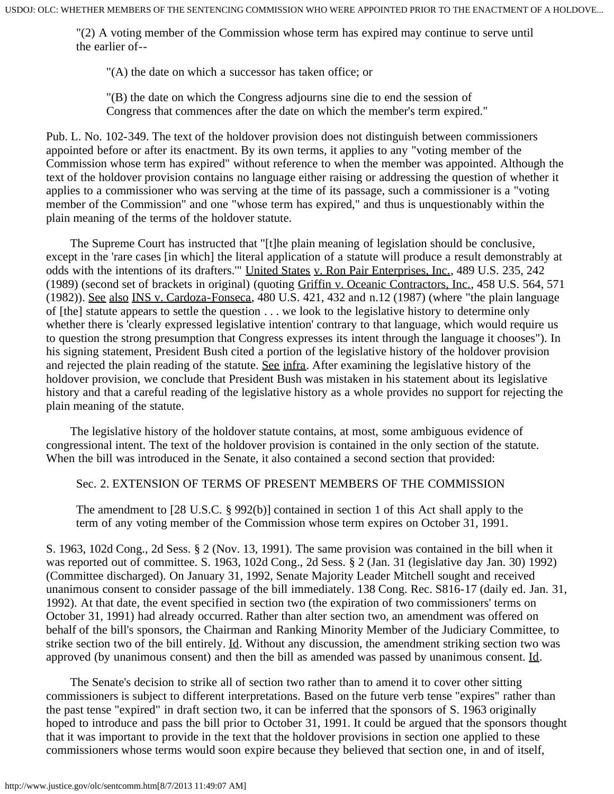"(2) A voting member of the Commission whose term has expired may continue to serve until the earlier of--

"(A) the date on which a successor has taken office; or

"(B) the date on which the Congress adjourns sine die to end the session of Congress that commences after the date on which the member's term expired."

Pub. L. No. 102-349. The text of the holdover provision does not distinguish between commissioners appointed before or after its enactment. By its own terms, it applies to any "voting member of the Commission whose term has expired" without reference to when the member was appointed. Although the text of the holdover provision contains no language either raising or addressing the question of whether it applies to a commissioner who was serving at the time of its passage, such a commissioner is a "voting member of the Commission" and one "whose term has expired," and thus is unquestionably within the plain meaning of the terms of the holdover statute.

 The Supreme Court has instructed that "[t]he plain meaning of legislation should be conclusive, except in the 'rare cases [in which] the literal application of a statute will produce a result demonstrably at odds with the intentions of its drafters.'" United States v. Ron Pair Enterprises, Inc., 489 U.S. 235, 242 (1989) (second set of brackets in original) (quoting Griffin v. Oceanic Contractors, Inc., 458 U.S. 564, 571 (1982)). See also INS v. Cardoza-Fonseca, 480 U.S. 421, 432 and n.12 (1987) (where "the plain language of [the] statute appears to settle the question . . . we look to the legislative history to determine only whether there is 'clearly expressed legislative intention' contrary to that language, which would require us to question the strong presumption that Congress expresses its intent through the language it chooses"). In his signing statement, President Bush cited a portion of the legislative history of the holdover provision and rejected the plain reading of the statute. See infra. After examining the legislative history of the holdover provision, we conclude that President Bush was mistaken in his statement about its legislative history and that a careful reading of the legislative history as a whole provides no support for rejecting the plain meaning of the statute.

 The legislative history of the holdover statute contains, at most, some ambiguous evidence of congressional intent. The text of the holdover provision is contained in the only section of the statute. When the bill was introduced in the Senate, it also contained a second section that provided:

### Sec. 2. EXTENSION OF TERMS OF PRESENT MEMBERS OF THE COMMISSION

The amendment to [28 U.S.C. § 992(b)] contained in section 1 of this Act shall apply to the term of any voting member of the Commission whose term expires on October 31, 1991.

S. 1963, 102d Cong., 2d Sess. § 2 (Nov. 13, 1991). The same provision was contained in the bill when it was reported out of committee. S. 1963, 102d Cong., 2d Sess. § 2 (Jan. 31 (legislative day Jan. 30) 1992) (Committee discharged). On January 31, 1992, Senate Majority Leader Mitchell sought and received unanimous consent to consider passage of the bill immediately. 138 Cong. Rec. S816-17 (daily ed. Jan. 31, 1992). At that date, the event specified in section two (the expiration of two commissioners' terms on October 31, 1991) had already occurred. Rather than alter section two, an amendment was offered on behalf of the bill's sponsors, the Chairman and Ranking Minority Member of the Judiciary Committee, to strike section two of the bill entirely. Id. Without any discussion, the amendment striking section two was approved (by unanimous consent) and then the bill as amended was passed by unanimous consent. Id.

 The Senate's decision to strike all of section two rather than to amend it to cover other sitting commissioners is subject to different interpretations. Based on the future verb tense "expires" rather than the past tense "expired" in draft section two, it can be inferred that the sponsors of S. 1963 originally hoped to introduce and pass the bill prior to October 31, 1991. It could be argued that the sponsors thought that it was important to provide in the text that the holdover provisions in section one applied to these commissioners whose terms would soon expire because they believed that section one, in and of itself,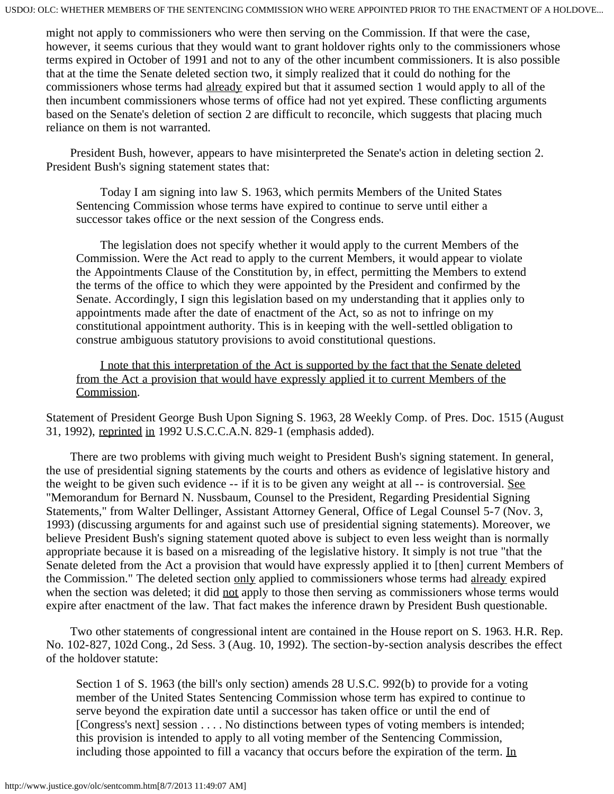might not apply to commissioners who were then serving on the Commission. If that were the case, however, it seems curious that they would want to grant holdover rights only to the commissioners whose terms expired in October of 1991 and not to any of the other incumbent commissioners. It is also possible that at the time the Senate deleted section two, it simply realized that it could do nothing for the commissioners whose terms had already expired but that it assumed section 1 would apply to all of the then incumbent commissioners whose terms of office had not yet expired. These conflicting arguments based on the Senate's deletion of section 2 are difficult to reconcile, which suggests that placing much reliance on them is not warranted.

 President Bush, however, appears to have misinterpreted the Senate's action in deleting section 2. President Bush's signing statement states that:

 Today I am signing into law S. 1963, which permits Members of the United States Sentencing Commission whose terms have expired to continue to serve until either a successor takes office or the next session of the Congress ends.

 The legislation does not specify whether it would apply to the current Members of the Commission. Were the Act read to apply to the current Members, it would appear to violate the Appointments Clause of the Constitution by, in effect, permitting the Members to extend the terms of the office to which they were appointed by the President and confirmed by the Senate. Accordingly, I sign this legislation based on my understanding that it applies only to appointments made after the date of enactment of the Act, so as not to infringe on my constitutional appointment authority. This is in keeping with the well-settled obligation to construe ambiguous statutory provisions to avoid constitutional questions.

 I note that this interpretation of the Act is supported by the fact that the Senate deleted from the Act a provision that would have expressly applied it to current Members of the Commission.

Statement of President George Bush Upon Signing S. 1963, 28 Weekly Comp. of Pres. Doc. 1515 (August 31, 1992), reprinted in 1992 U.S.C.C.A.N. 829-1 (emphasis added).

 There are two problems with giving much weight to President Bush's signing statement. In general, the use of presidential signing statements by the courts and others as evidence of legislative history and the weight to be given such evidence -- if it is to be given any weight at all -- is controversial. See "Memorandum for Bernard N. Nussbaum, Counsel to the President, Regarding Presidential Signing Statements," from Walter Dellinger, Assistant Attorney General, Office of Legal Counsel 5-7 (Nov. 3, 1993) (discussing arguments for and against such use of presidential signing statements). Moreover, we believe President Bush's signing statement quoted above is subject to even less weight than is normally appropriate because it is based on a misreading of the legislative history. It simply is not true "that the Senate deleted from the Act a provision that would have expressly applied it to [then] current Members of the Commission." The deleted section only applied to commissioners whose terms had already expired when the section was deleted; it did not apply to those then serving as commissioners whose terms would expire after enactment of the law. That fact makes the inference drawn by President Bush questionable.

 Two other statements of congressional intent are contained in the House report on S. 1963. H.R. Rep. No. 102-827, 102d Cong., 2d Sess. 3 (Aug. 10, 1992). The section-by-section analysis describes the effect of the holdover statute:

Section 1 of S. 1963 (the bill's only section) amends 28 U.S.C. 992(b) to provide for a voting member of the United States Sentencing Commission whose term has expired to continue to serve beyond the expiration date until a successor has taken office or until the end of [Congress's next] session . . . . No distinctions between types of voting members is intended; this provision is intended to apply to all voting member of the Sentencing Commission, including those appointed to fill a vacancy that occurs before the expiration of the term. In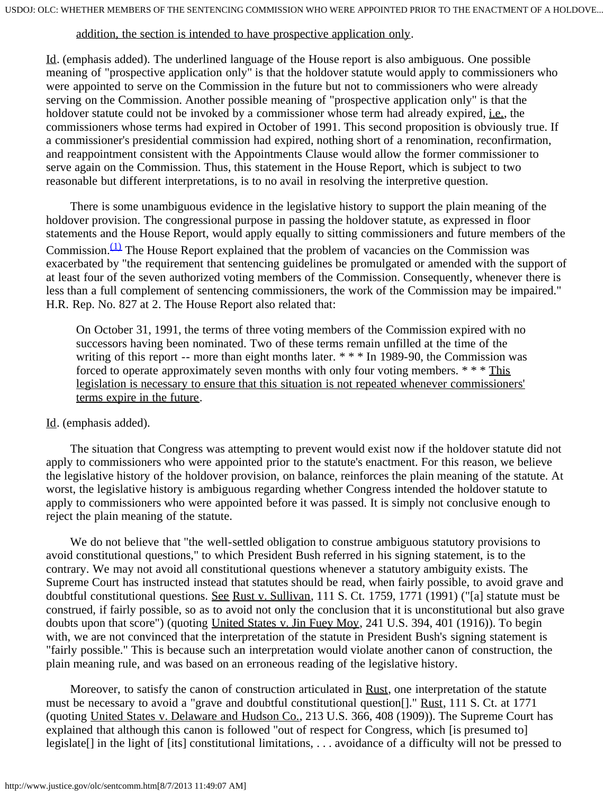#### addition, the section is intended to have prospective application only.

Id. (emphasis added). The underlined language of the House report is also ambiguous. One possible meaning of "prospective application only" is that the holdover statute would apply to commissioners who were appointed to serve on the Commission in the future but not to commissioners who were already serving on the Commission. Another possible meaning of "prospective application only" is that the holdover statute could not be invoked by a commissioner whose term had already expired, i.e., the commissioners whose terms had expired in October of 1991. This second proposition is obviously true. If a commissioner's presidential commission had expired, nothing short of a renomination, reconfirmation, and reappointment consistent with the Appointments Clause would allow the former commissioner to serve again on the Commission. Thus, this statement in the House Report, which is subject to two reasonable but different interpretations, is to no avail in resolving the interpretive question.

 There is some unambiguous evidence in the legislative history to support the plain meaning of the holdover provision. The congressional purpose in passing the holdover statute, as expressed in floor statements and the House Report, would apply equally to sitting commissioners and future members of the Commission.<sup>(1)</sup> The House Report explained that the problem of vacancies on the Commission was exacerbated by "the requirement that sentencing guidelines be promulgated or amended with the support of at least four of the seven authorized voting members of the Commission. Consequently, whenever there is less than a full complement of sentencing commissioners, the work of the Commission may be impaired." H.R. Rep. No. 827 at 2. The House Report also related that:

On October 31, 1991, the terms of three voting members of the Commission expired with no successors having been nominated. Two of these terms remain unfilled at the time of the writing of this report -- more than eight months later. \* \* \* In 1989-90, the Commission was forced to operate approximately seven months with only four voting members. \* \* \* This legislation is necessary to ensure that this situation is not repeated whenever commissioners' terms expire in the future.

#### Id. (emphasis added).

 The situation that Congress was attempting to prevent would exist now if the holdover statute did not apply to commissioners who were appointed prior to the statute's enactment. For this reason, we believe the legislative history of the holdover provision, on balance, reinforces the plain meaning of the statute. At worst, the legislative history is ambiguous regarding whether Congress intended the holdover statute to apply to commissioners who were appointed before it was passed. It is simply not conclusive enough to reject the plain meaning of the statute.

 We do not believe that "the well-settled obligation to construe ambiguous statutory provisions to avoid constitutional questions," to which President Bush referred in his signing statement, is to the contrary. We may not avoid all constitutional questions whenever a statutory ambiguity exists. The Supreme Court has instructed instead that statutes should be read, when fairly possible, to avoid grave and doubtful constitutional questions. See Rust v. Sullivan, 111 S. Ct. 1759, 1771 (1991) ("[a] statute must be construed, if fairly possible, so as to avoid not only the conclusion that it is unconstitutional but also grave doubts upon that score") (quoting United States v. Jin Fuey Moy, 241 U.S. 394, 401 (1916)). To begin with, we are not convinced that the interpretation of the statute in President Bush's signing statement is "fairly possible." This is because such an interpretation would violate another canon of construction, the plain meaning rule, and was based on an erroneous reading of the legislative history.

Moreover, to satisfy the canon of construction articulated in Rust, one interpretation of the statute must be necessary to avoid a "grave and doubtful constitutional question[]." Rust, 111 S. Ct. at 1771 (quoting United States v. Delaware and Hudson Co., 213 U.S. 366, 408 (1909)). The Supreme Court has explained that although this canon is followed "out of respect for Congress, which [is presumed to] legislate[] in the light of [its] constitutional limitations, . . . avoidance of a difficulty will not be pressed to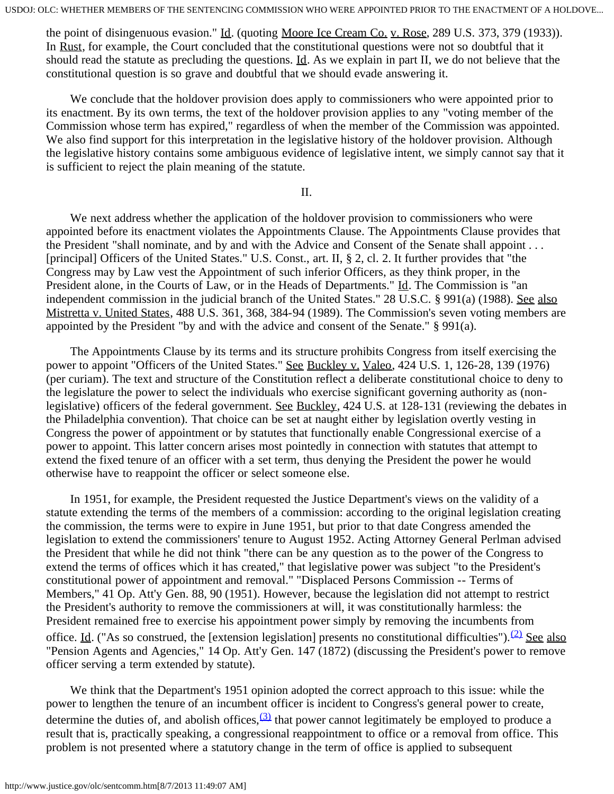the point of disingenuous evasion." Id. (quoting Moore Ice Cream Co. v. Rose, 289 U.S. 373, 379 (1933)). In Rust, for example, the Court concluded that the constitutional questions were not so doubtful that it should read the statute as precluding the questions. Id. As we explain in part II, we do not believe that the constitutional question is so grave and doubtful that we should evade answering it.

 We conclude that the holdover provision does apply to commissioners who were appointed prior to its enactment. By its own terms, the text of the holdover provision applies to any "voting member of the Commission whose term has expired," regardless of when the member of the Commission was appointed. We also find support for this interpretation in the legislative history of the holdover provision. Although the legislative history contains some ambiguous evidence of legislative intent, we simply cannot say that it is sufficient to reject the plain meaning of the statute.

II.

 We next address whether the application of the holdover provision to commissioners who were appointed before its enactment violates the Appointments Clause. The Appointments Clause provides that the President "shall nominate, and by and with the Advice and Consent of the Senate shall appoint . . . [principal] Officers of the United States." U.S. Const., art. II, § 2, cl. 2. It further provides that "the Congress may by Law vest the Appointment of such inferior Officers, as they think proper, in the President alone, in the Courts of Law, or in the Heads of Departments." Id. The Commission is "an independent commission in the judicial branch of the United States." 28 U.S.C. § 991(a) (1988). See also Mistretta v. United States, 488 U.S. 361, 368, 384-94 (1989). The Commission's seven voting members are appointed by the President "by and with the advice and consent of the Senate." § 991(a).

 The Appointments Clause by its terms and its structure prohibits Congress from itself exercising the power to appoint "Officers of the United States." See Buckley v. Valeo, 424 U.S. 1, 126-28, 139 (1976) (per curiam). The text and structure of the Constitution reflect a deliberate constitutional choice to deny to the legislature the power to select the individuals who exercise significant governing authority as (nonlegislative) officers of the federal government. See Buckley, 424 U.S. at 128-131 (reviewing the debates in the Philadelphia convention). That choice can be set at naught either by legislation overtly vesting in Congress the power of appointment or by statutes that functionally enable Congressional exercise of a power to appoint. This latter concern arises most pointedly in connection with statutes that attempt to extend the fixed tenure of an officer with a set term, thus denying the President the power he would otherwise have to reappoint the officer or select someone else.

 In 1951, for example, the President requested the Justice Department's views on the validity of a statute extending the terms of the members of a commission: according to the original legislation creating the commission, the terms were to expire in June 1951, but prior to that date Congress amended the legislation to extend the commissioners' tenure to August 1952. Acting Attorney General Perlman advised the President that while he did not think "there can be any question as to the power of the Congress to extend the terms of offices which it has created," that legislative power was subject "to the President's constitutional power of appointment and removal." "Displaced Persons Commission -- Terms of Members," 41 Op. Att'y Gen. 88, 90 (1951). However, because the legislation did not attempt to restrict the President's authority to remove the commissioners at will, it was constitutionally harmless: the President remained free to exercise his appointment power simply by removing the incumbents from office. Id. ("As so construed, the [extension legislation] presents no constitutional difficulties").<sup>[\(2\)](#page-8-1)</sup> See also "Pension Agents and Agencies," 14 Op. Att'y Gen. 147 (1872) (discussing the President's power to remove officer serving a term extended by statute).

 We think that the Department's 1951 opinion adopted the correct approach to this issue: while the power to lengthen the tenure of an incumbent officer is incident to Congress's general power to create, determine the duties of, and abolish offices,  $\frac{(3)}{(2)}$  $\frac{(3)}{(2)}$  $\frac{(3)}{(2)}$  that power cannot legitimately be employed to produce a result that is, practically speaking, a congressional reappointment to office or a removal from office. This problem is not presented where a statutory change in the term of office is applied to subsequent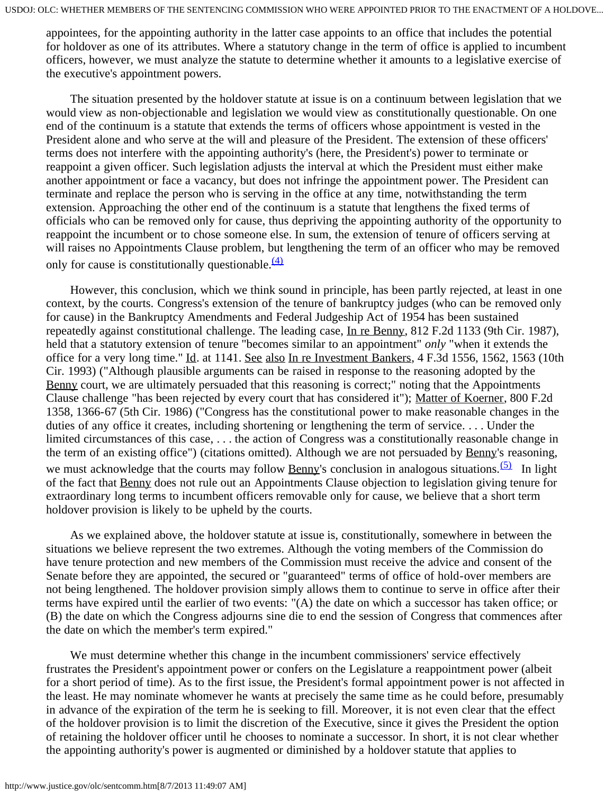appointees, for the appointing authority in the latter case appoints to an office that includes the potential for holdover as one of its attributes. Where a statutory change in the term of office is applied to incumbent officers, however, we must analyze the statute to determine whether it amounts to a legislative exercise of the executive's appointment powers.

 The situation presented by the holdover statute at issue is on a continuum between legislation that we would view as non-objectionable and legislation we would view as constitutionally questionable. On one end of the continuum is a statute that extends the terms of officers whose appointment is vested in the President alone and who serve at the will and pleasure of the President. The extension of these officers' terms does not interfere with the appointing authority's (here, the President's) power to terminate or reappoint a given officer. Such legislation adjusts the interval at which the President must either make another appointment or face a vacancy, but does not infringe the appointment power. The President can terminate and replace the person who is serving in the office at any time, notwithstanding the term extension. Approaching the other end of the continuum is a statute that lengthens the fixed terms of officials who can be removed only for cause, thus depriving the appointing authority of the opportunity to reappoint the incumbent or to chose someone else. In sum, the extension of tenure of officers serving at will raises no Appointments Clause problem, but lengthening the term of an officer who may be removed only for cause is constitutionally questionable. $\frac{(4)}{4}$  $\frac{(4)}{4}$  $\frac{(4)}{4}$ 

 However, this conclusion, which we think sound in principle, has been partly rejected, at least in one context, by the courts. Congress's extension of the tenure of bankruptcy judges (who can be removed only for cause) in the Bankruptcy Amendments and Federal Judgeship Act of 1954 has been sustained repeatedly against constitutional challenge. The leading case, In re Benny, 812 F.2d 1133 (9th Cir. 1987), held that a statutory extension of tenure "becomes similar to an appointment" *only* "when it extends the office for a very long time." Id. at 1141. See also In re Investment Bankers, 4 F.3d 1556, 1562, 1563 (10th Cir. 1993) ("Although plausible arguments can be raised in response to the reasoning adopted by the Benny court, we are ultimately persuaded that this reasoning is correct;" noting that the Appointments Clause challenge "has been rejected by every court that has considered it"); Matter of Koerner, 800 F.2d 1358, 1366-67 (5th Cir. 1986) ("Congress has the constitutional power to make reasonable changes in the duties of any office it creates, including shortening or lengthening the term of service. . . . Under the limited circumstances of this case, . . . the action of Congress was a constitutionally reasonable change in the term of an existing office") (citations omitted). Although we are not persuaded by Benny's reasoning, we must acknowledge that the courts may follow <u>Benny's</u> conclusion in analogous situations.<sup>[\(5\)](#page-8-4)</sup> In light of the fact that Benny does not rule out an Appointments Clause objection to legislation giving tenure for extraordinary long terms to incumbent officers removable only for cause, we believe that a short term holdover provision is likely to be upheld by the courts.

 As we explained above, the holdover statute at issue is, constitutionally, somewhere in between the situations we believe represent the two extremes. Although the voting members of the Commission do have tenure protection and new members of the Commission must receive the advice and consent of the Senate before they are appointed, the secured or "guaranteed" terms of office of hold-over members are not being lengthened. The holdover provision simply allows them to continue to serve in office after their terms have expired until the earlier of two events: "(A) the date on which a successor has taken office; or (B) the date on which the Congress adjourns sine die to end the session of Congress that commences after the date on which the member's term expired."

 We must determine whether this change in the incumbent commissioners' service effectively frustrates the President's appointment power or confers on the Legislature a reappointment power (albeit for a short period of time). As to the first issue, the President's formal appointment power is not affected in the least. He may nominate whomever he wants at precisely the same time as he could before, presumably in advance of the expiration of the term he is seeking to fill. Moreover, it is not even clear that the effect of the holdover provision is to limit the discretion of the Executive, since it gives the President the option of retaining the holdover officer until he chooses to nominate a successor. In short, it is not clear whether the appointing authority's power is augmented or diminished by a holdover statute that applies to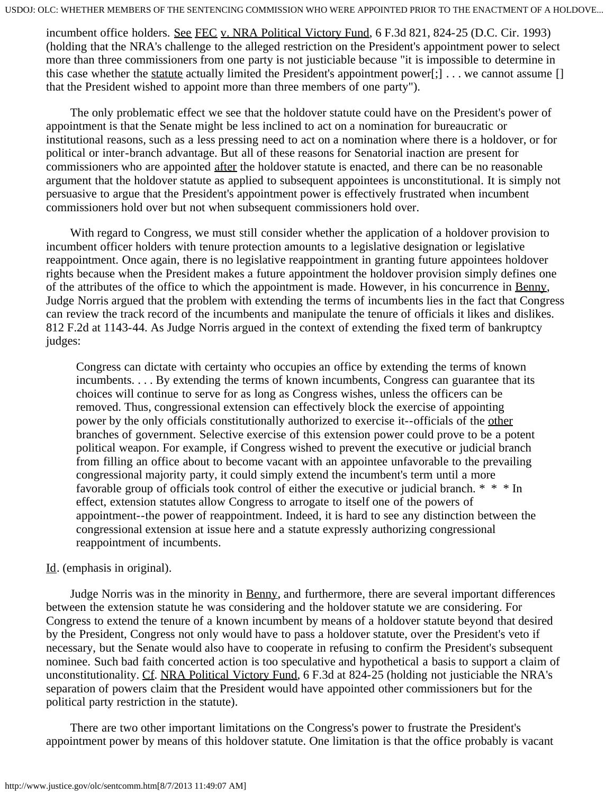incumbent office holders. See FEC v. NRA Political Victory Fund, 6 F.3d 821, 824-25 (D.C. Cir. 1993) (holding that the NRA's challenge to the alleged restriction on the President's appointment power to select more than three commissioners from one party is not justiciable because "it is impossible to determine in this case whether the statute actually limited the President's appointment power[;] . . . we cannot assume [] that the President wished to appoint more than three members of one party").

 The only problematic effect we see that the holdover statute could have on the President's power of appointment is that the Senate might be less inclined to act on a nomination for bureaucratic or institutional reasons, such as a less pressing need to act on a nomination where there is a holdover, or for political or inter-branch advantage. But all of these reasons for Senatorial inaction are present for commissioners who are appointed after the holdover statute is enacted, and there can be no reasonable argument that the holdover statute as applied to subsequent appointees is unconstitutional. It is simply not persuasive to argue that the President's appointment power is effectively frustrated when incumbent commissioners hold over but not when subsequent commissioners hold over.

 With regard to Congress, we must still consider whether the application of a holdover provision to incumbent officer holders with tenure protection amounts to a legislative designation or legislative reappointment. Once again, there is no legislative reappointment in granting future appointees holdover rights because when the President makes a future appointment the holdover provision simply defines one of the attributes of the office to which the appointment is made. However, in his concurrence in Benny, Judge Norris argued that the problem with extending the terms of incumbents lies in the fact that Congress can review the track record of the incumbents and manipulate the tenure of officials it likes and dislikes. 812 F.2d at 1143-44. As Judge Norris argued in the context of extending the fixed term of bankruptcy judges:

Congress can dictate with certainty who occupies an office by extending the terms of known incumbents. . . . By extending the terms of known incumbents, Congress can guarantee that its choices will continue to serve for as long as Congress wishes, unless the officers can be removed. Thus, congressional extension can effectively block the exercise of appointing power by the only officials constitutionally authorized to exercise it--officials of the other branches of government. Selective exercise of this extension power could prove to be a potent political weapon. For example, if Congress wished to prevent the executive or judicial branch from filling an office about to become vacant with an appointee unfavorable to the prevailing congressional majority party, it could simply extend the incumbent's term until a more favorable group of officials took control of either the executive or judicial branch. \* \* \* In effect, extension statutes allow Congress to arrogate to itself one of the powers of appointment--the power of reappointment. Indeed, it is hard to see any distinction between the congressional extension at issue here and a statute expressly authorizing congressional reappointment of incumbents.

## Id. (emphasis in original).

 Judge Norris was in the minority in Benny, and furthermore, there are several important differences between the extension statute he was considering and the holdover statute we are considering. For Congress to extend the tenure of a known incumbent by means of a holdover statute beyond that desired by the President, Congress not only would have to pass a holdover statute, over the President's veto if necessary, but the Senate would also have to cooperate in refusing to confirm the President's subsequent nominee. Such bad faith concerted action is too speculative and hypothetical a basis to support a claim of unconstitutionality. Cf. NRA Political Victory Fund, 6 F.3d at 824-25 (holding not justiciable the NRA's separation of powers claim that the President would have appointed other commissioners but for the political party restriction in the statute).

 There are two other important limitations on the Congress's power to frustrate the President's appointment power by means of this holdover statute. One limitation is that the office probably is vacant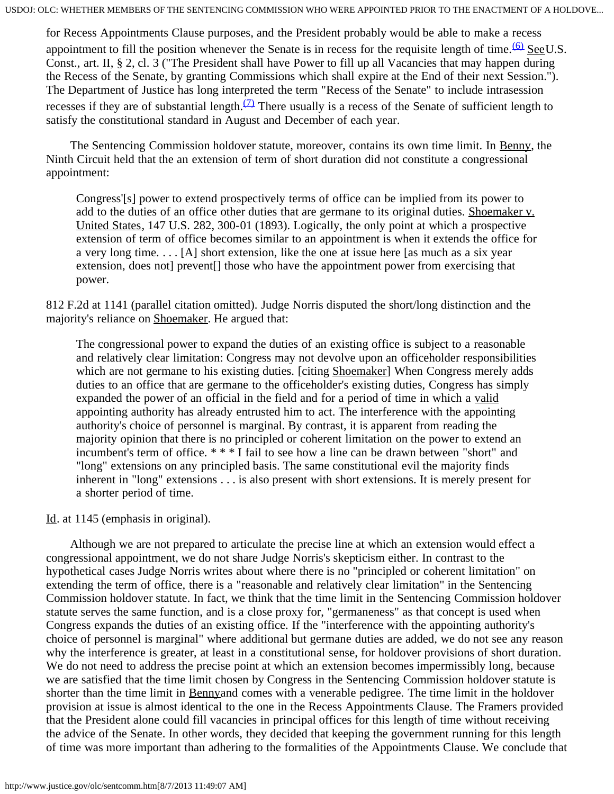for Recess Appointments Clause purposes, and the President probably would be able to make a recess appointment to fill the position whenever the Senate is in recess for the requisite length of time.  $60 \text{ SecU.S.}$ Const., art. II, § 2, cl. 3 ("The President shall have Power to fill up all Vacancies that may happen during the Recess of the Senate, by granting Commissions which shall expire at the End of their next Session."). The Department of Justice has long interpreted the term "Recess of the Senate" to include intrasession recesses if they are of substantial length.<sup>(7)</sup> There usually is a recess of the Senate of sufficient length to satisfy the constitutional standard in August and December of each year.

 The Sentencing Commission holdover statute, moreover, contains its own time limit. In Benny, the Ninth Circuit held that the an extension of term of short duration did not constitute a congressional appointment:

Congress'[s] power to extend prospectively terms of office can be implied from its power to add to the duties of an office other duties that are germane to its original duties. Shoemaker v. United States, 147 U.S. 282, 300-01 (1893). Logically, the only point at which a prospective extension of term of office becomes similar to an appointment is when it extends the office for a very long time. . . . [A] short extension, like the one at issue here [as much as a six year extension, does not prevent<sup>[]</sup> those who have the appointment power from exercising that power.

812 F.2d at 1141 (parallel citation omitted). Judge Norris disputed the short/long distinction and the majority's reliance on Shoemaker. He argued that:

The congressional power to expand the duties of an existing office is subject to a reasonable and relatively clear limitation: Congress may not devolve upon an officeholder responsibilities which are not germane to his existing duties. [citing Shoemaker] When Congress merely adds duties to an office that are germane to the officeholder's existing duties, Congress has simply expanded the power of an official in the field and for a period of time in which a valid appointing authority has already entrusted him to act. The interference with the appointing authority's choice of personnel is marginal. By contrast, it is apparent from reading the majority opinion that there is no principled or coherent limitation on the power to extend an incumbent's term of office. \* \* \* I fail to see how a line can be drawn between "short" and "long" extensions on any principled basis. The same constitutional evil the majority finds inherent in "long" extensions . . . is also present with short extensions. It is merely present for a shorter period of time.

Id. at 1145 (emphasis in original).

 Although we are not prepared to articulate the precise line at which an extension would effect a congressional appointment, we do not share Judge Norris's skepticism either. In contrast to the hypothetical cases Judge Norris writes about where there is no "principled or coherent limitation" on extending the term of office, there is a "reasonable and relatively clear limitation" in the Sentencing Commission holdover statute. In fact, we think that the time limit in the Sentencing Commission holdover statute serves the same function, and is a close proxy for, "germaneness" as that concept is used when Congress expands the duties of an existing office. If the "interference with the appointing authority's choice of personnel is marginal" where additional but germane duties are added, we do not see any reason why the interference is greater, at least in a constitutional sense, for holdover provisions of short duration. We do not need to address the precise point at which an extension becomes impermissibly long, because we are satisfied that the time limit chosen by Congress in the Sentencing Commission holdover statute is shorter than the time limit in Bennyand comes with a venerable pedigree. The time limit in the holdover provision at issue is almost identical to the one in the Recess Appointments Clause. The Framers provided that the President alone could fill vacancies in principal offices for this length of time without receiving the advice of the Senate. In other words, they decided that keeping the government running for this length of time was more important than adhering to the formalities of the Appointments Clause. We conclude that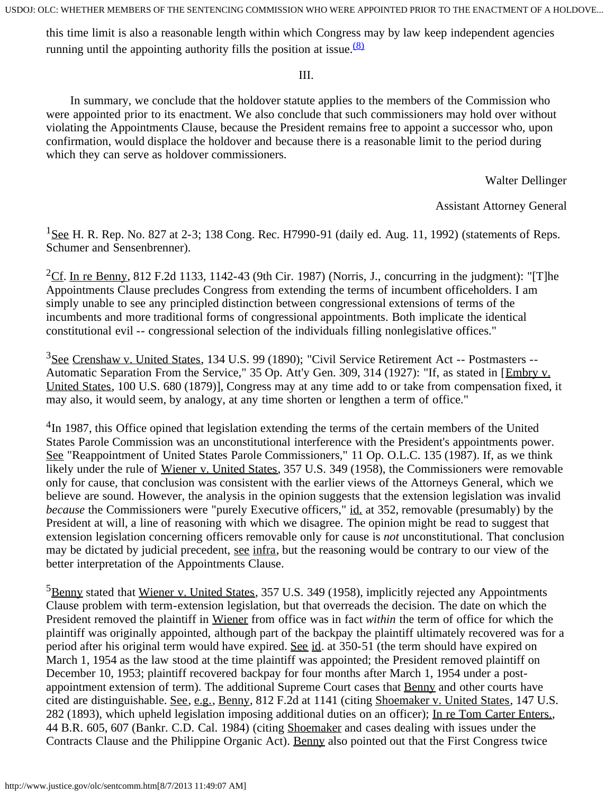this time limit is also a reasonable length within which Congress may by law keep independent agencies running until the appointing authority fills the position at issue. $\frac{(8)}{8}$  $\frac{(8)}{8}$  $\frac{(8)}{8}$ 

## III.

 In summary, we conclude that the holdover statute applies to the members of the Commission who were appointed prior to its enactment. We also conclude that such commissioners may hold over without violating the Appointments Clause, because the President remains free to appoint a successor who, upon confirmation, would displace the holdover and because there is a reasonable limit to the period during which they can serve as holdover commissioners.

Walter Dellinger

## Assistant Attorney General

<span id="page-8-0"></span> $1$ See H. R. Rep. No. 827 at 2-3; 138 Cong. Rec. H7990-91 (daily ed. Aug. 11, 1992) (statements of Reps. Schumer and Sensenbrenner).

<span id="page-8-1"></span><sup>2</sup>Cf. In re Benny, 812 F.2d 1133, 1142-43 (9th Cir. 1987) (Norris, J., concurring in the judgment): "[T]he Appointments Clause precludes Congress from extending the terms of incumbent officeholders. I am simply unable to see any principled distinction between congressional extensions of terms of the incumbents and more traditional forms of congressional appointments. Both implicate the identical constitutional evil -- congressional selection of the individuals filling nonlegislative offices."

<span id="page-8-2"></span><sup>3</sup>See Crenshaw v. United States, 134 U.S. 99 (1890); "Civil Service Retirement Act -- Postmasters --Automatic Separation From the Service," 35 Op. Att'y Gen. 309, 314 (1927): "If, as stated in [Embry v. United States, 100 U.S. 680 (1879)], Congress may at any time add to or take from compensation fixed, it may also, it would seem, by analogy, at any time shorten or lengthen a term of office."

<span id="page-8-3"></span><sup>4</sup>In 1987, this Office opined that legislation extending the terms of the certain members of the United States Parole Commission was an unconstitutional interference with the President's appointments power. See "Reappointment of United States Parole Commissioners," 11 Op. O.L.C. 135 (1987). If, as we think likely under the rule of Wiener v. United States, 357 U.S. 349 (1958), the Commissioners were removable only for cause, that conclusion was consistent with the earlier views of the Attorneys General, which we believe are sound. However, the analysis in the opinion suggests that the extension legislation was invalid *because* the Commissioners were "purely Executive officers," id. at 352, removable (presumably) by the President at will, a line of reasoning with which we disagree. The opinion might be read to suggest that extension legislation concerning officers removable only for cause is *not* unconstitutional. That conclusion may be dictated by judicial precedent, see infra, but the reasoning would be contrary to our view of the better interpretation of the Appointments Clause.

<span id="page-8-4"></span> ${}^{5}$ Benny stated that Wiener v. United States, 357 U.S. 349 (1958), implicitly rejected any Appointments Clause problem with term-extension legislation, but that overreads the decision. The date on which the President removed the plaintiff in Wiener from office was in fact *within* the term of office for which the plaintiff was originally appointed, although part of the backpay the plaintiff ultimately recovered was for a period after his original term would have expired. See id. at 350-51 (the term should have expired on March 1, 1954 as the law stood at the time plaintiff was appointed; the President removed plaintiff on December 10, 1953; plaintiff recovered backpay for four months after March 1, 1954 under a postappointment extension of term). The additional Supreme Court cases that Benny and other courts have cited are distinguishable. See, e.g., Benny, 812 F.2d at 1141 (citing Shoemaker v. United States, 147 U.S. 282 (1893), which upheld legislation imposing additional duties on an officer); In re Tom Carter Enters., 44 B.R. 605, 607 (Bankr. C.D. Cal. 1984) (citing Shoemaker and cases dealing with issues under the Contracts Clause and the Philippine Organic Act). Benny also pointed out that the First Congress twice